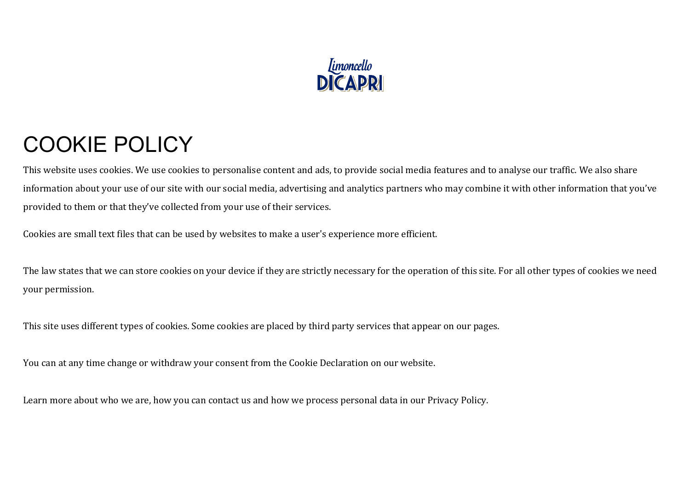

## COOKIE POLICY

This website uses cookies. We use cookies to personalise content and ads, to provide social media features and to analyse our traffic. We also share information about your use of our site with our social media, advertising and analytics partners who may combine it with other information that you've provided to them or that they've collected from your use of their services.

Cookies are small text files that can be used by websites to make a user's experience more efficient.

The law states that we can store cookies on your device if they are strictly necessary for the operation of this site. For all other types of cookies we need your permission.

This site uses different types of cookies. Some cookies are placed by third party services that appear on our pages.

You can at any time change or withdraw your consent from the Cookie Declaration on our website.

Learn more about who we are, how you can contact us and how we process personal data in our Privacy Policy.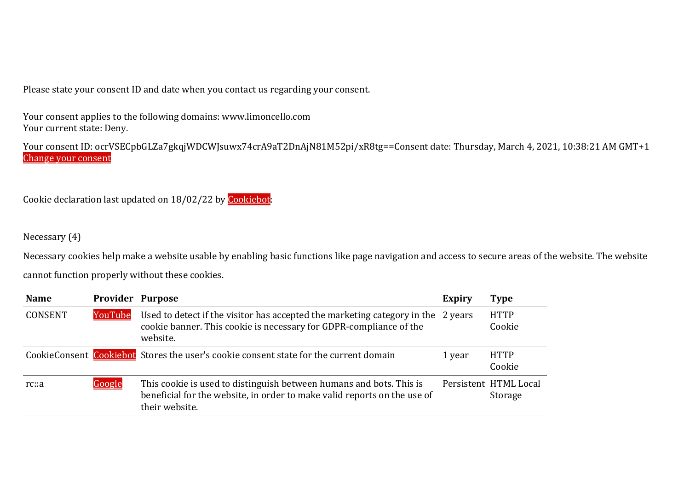Please state your consent ID and date when you contact us regarding your consent.

Your consent applies to the following domains: www.limoncello.com Your current state: Deny.

Your consent ID: ocrVSECpbGLZa7gkqjWDCWJsuwx74crA9aT2DnAjN81M52pi/xR8tg==Consent date: Thursday, March 4, 2021, 10:38:21 AM GMT+1 Change your consent

Cookie declaration last updated on 18/02/22 by Cookiebot:

## Necessary (4)

Necessary cookies help make a website usable by enabling basic functions like page navigation and access to secure areas of the website. The website cannot function properly without these cookies.

| <b>Name</b>    | <b>Provider Purpose</b> |                                                                                                                                                                    | <b>Expiry</b> | <b>Type</b>                      |
|----------------|-------------------------|--------------------------------------------------------------------------------------------------------------------------------------------------------------------|---------------|----------------------------------|
| <b>CONSENT</b> | YouTube                 | Used to detect if the visitor has accepted the marketing category in the 2 years<br>cookie banner. This cookie is necessary for GDPR-compliance of the<br>website. |               | <b>HTTP</b><br>Cookie            |
|                |                         | CookieConsent Cookiebot Stores the user's cookie consent state for the current domain                                                                              | 1 year        | <b>HTTP</b><br>Cookie            |
| rc::a          | <u>Google</u>           | This cookie is used to distinguish between humans and bots. This is<br>beneficial for the website, in order to make valid reports on the use of<br>their website.  |               | Persistent HTML Local<br>Storage |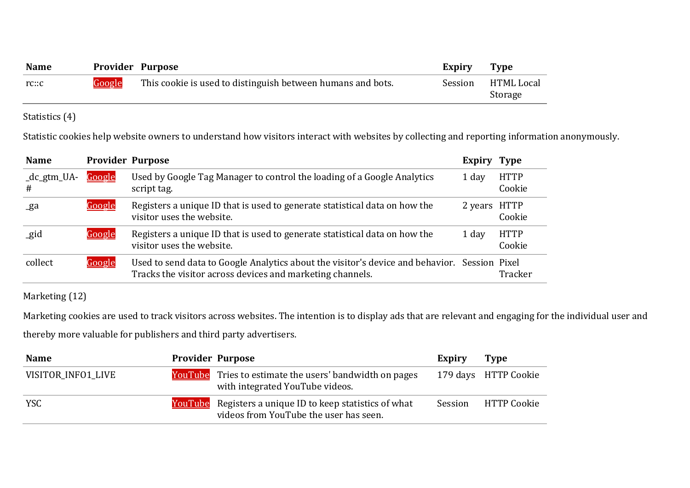| <b>Name</b> | <b>Provider Purpose</b> |                                                             | Expiry  | <b>Type</b>           |
|-------------|-------------------------|-------------------------------------------------------------|---------|-----------------------|
| rc:cc       | Google                  | This cookie is used to distinguish between humans and bots. | Session | HTML Local<br>Storage |

Statistics (4)

Statistic cookies help website owners to understand how visitors interact with websites by collecting and reporting information anonymously.

| <b>Name</b>      | <b>Provider Purpose</b> |                                                                                                                                                           | Expiry       | <b>Type</b>           |
|------------------|-------------------------|-----------------------------------------------------------------------------------------------------------------------------------------------------------|--------------|-----------------------|
| _dc_gtm_UA-<br># | Google                  | Used by Google Tag Manager to control the loading of a Google Analytics<br>script tag.                                                                    | 1 day        | <b>HTTP</b><br>Cookie |
| _ga              | Google                  | Registers a unique ID that is used to generate statistical data on how the<br>visitor uses the website.                                                   | 2 years HTTP | Cookie                |
| gid              | Google                  | Registers a unique ID that is used to generate statistical data on how the<br>visitor uses the website.                                                   | 1 day        | <b>HTTP</b><br>Cookie |
| collect          | Google                  | Used to send data to Google Analytics about the visitor's device and behavior. Session Pixel<br>Tracks the visitor across devices and marketing channels. |              | Tracker               |

Marketing (12)

Marketing cookies are used to track visitors across websites. The intention is to display ads that are relevant and engaging for the individual user and thereby more valuable for publishers and third party advertisers.

| <b>Name</b>        | <b>Provider Purpose</b> |                                                                                                           | Expiry  | <b>Type</b>          |
|--------------------|-------------------------|-----------------------------------------------------------------------------------------------------------|---------|----------------------|
| VISITOR INFO1 LIVE |                         | <b>YouTube</b> Tries to estimate the users' bandwidth on pages<br>with integrated YouTube videos.         |         | 179 days HTTP Cookie |
| <b>YSC</b>         |                         | <b>YouTube</b> Registers a unique ID to keep statistics of what<br>videos from YouTube the user has seen. | Session | HTTP Cookie          |